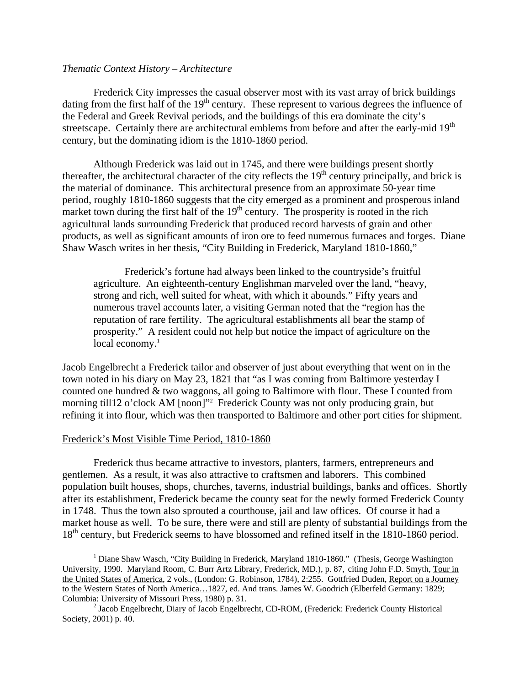## *Thematic Context History – Architecture*

 Frederick City impresses the casual observer most with its vast array of brick buildings dating from the first half of the  $19<sup>th</sup>$  century. These represent to various degrees the influence of the Federal and Greek Revival periods, and the buildings of this era dominate the city's streetscape. Certainly there are architectural emblems from before and after the early-mid 19<sup>th</sup> century, but the dominating idiom is the 1810-1860 period.

 Although Frederick was laid out in 1745, and there were buildings present shortly thereafter, the architectural character of the city reflects the  $19<sup>th</sup>$  century principally, and brick is the material of dominance. This architectural presence from an approximate 50-year time period, roughly 1810-1860 suggests that the city emerged as a prominent and prosperous inland market town during the first half of the  $19<sup>th</sup>$  century. The prosperity is rooted in the rich agricultural lands surrounding Frederick that produced record harvests of grain and other products, as well as significant amounts of iron ore to feed numerous furnaces and forges. Diane Shaw Wasch writes in her thesis, "City Building in Frederick, Maryland 1810-1860,"

Frederick's fortune had always been linked to the countryside's fruitful agriculture. An eighteenth-century Englishman marveled over the land, "heavy, strong and rich, well suited for wheat, with which it abounds." Fifty years and numerous travel accounts later, a visiting German noted that the "region has the reputation of rare fertility. The agricultural establishments all bear the stamp of prosperity." A resident could not help but notice the impact of agriculture on the local economy.<sup>[1](#page-0-0)</sup>

Jacob Engelbrecht a Frederick tailor and observer of just about everything that went on in the town noted in his diary on May 23, 1821 that "as I was coming from Baltimore yesterday I counted one hundred & two waggons, all going to Baltimore with flour. These I counted from morningtill12 o'clock AM [noon]"<sup>2</sup> Frederick County was not only producing grain, but refining it into flour, which was then transported to Baltimore and other port cities for shipment.

## Frederick's Most Visible Time Period, 1810-1860

Frederick thus became attractive to investors, planters, farmers, entrepreneurs and gentlemen. As a result, it was also attractive to craftsmen and laborers. This combined population built houses, shops, churches, taverns, industrial buildings, banks and offices. Shortly after its establishment, Frederick became the county seat for the newly formed Frederick County in 1748. Thus the town also sprouted a courthouse, jail and law offices. Of course it had a market house as well. To be sure, there were and still are plenty of substantial buildings from the 18<sup>th</sup> century, but Frederick seems to have blossomed and refined itself in the 1810-1860 period.

<span id="page-0-0"></span> $\begin{array}{c|c}\n\hline\n\end{array}$ <sup>1</sup> Diane Shaw Wasch, "City Building in Frederick, Maryland 1810-1860." (Thesis, George Washington University, 1990. Maryland Room, C. Burr Artz Library, Frederick, MD.), p. 87, citing John F.D. Smyth, Tour in the United States of America, 2 vols., (London: G. Robinson, 1784), 2:255. Gottfried Duden, Report on a Journey to the Western States of North America…1827, ed. And trans. James W. Goodrich (Elberfeld Germany: 1829; Columbia: University of Missouri Press, 1980) p. 31. 2

<span id="page-0-1"></span><sup>&</sup>lt;sup>2</sup> Jacob Engelbrecht, Diary of Jacob Engelbrecht, CD-ROM, (Frederick: Frederick County Historical Society, 2001) p. 40.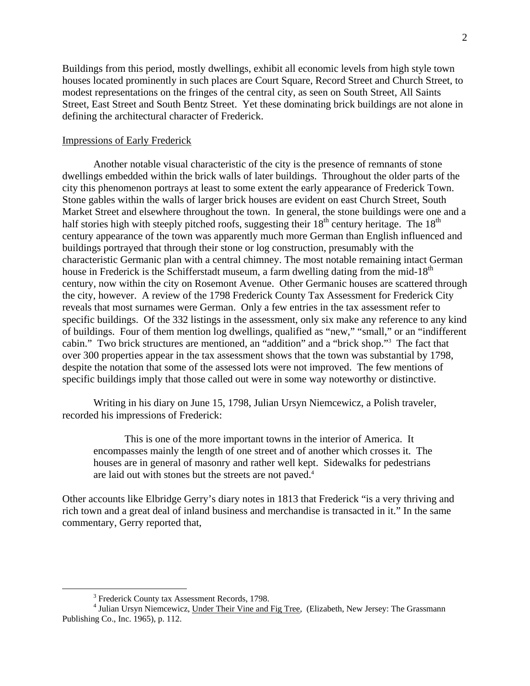Buildings from this period, mostly dwellings, exhibit all economic levels from high style town houses located prominently in such places are Court Square, Record Street and Church Street, to modest representations on the fringes of the central city, as seen on South Street, All Saints Street, East Street and South Bentz Street. Yet these dominating brick buildings are not alone in defining the architectural character of Frederick.

## Impressions of Early Frederick

Another notable visual characteristic of the city is the presence of remnants of stone dwellings embedded within the brick walls of later buildings. Throughout the older parts of the city this phenomenon portrays at least to some extent the early appearance of Frederick Town. Stone gables within the walls of larger brick houses are evident on east Church Street, South Market Street and elsewhere throughout the town. In general, the stone buildings were one and a half stories high with steeply pitched roofs, suggesting their  $18<sup>th</sup>$  century heritage. The  $18<sup>th</sup>$ century appearance of the town was apparently much more German than English influenced and buildings portrayed that through their stone or log construction, presumably with the characteristic Germanic plan with a central chimney. The most notable remaining intact German house in Frederick is the Schifferstadt museum, a farm dwelling dating from the mid-18<sup>th</sup> century, now within the city on Rosemont Avenue. Other Germanic houses are scattered through the city, however. A review of the 1798 Frederick County Tax Assessment for Frederick City reveals that most surnames were German. Only a few entries in the tax assessment refer to specific buildings. Of the 332 listings in the assessment, only six make any reference to any kind of buildings. Four of them mention log dwellings, qualified as "new," "small," or an "indifferent cabin." Two brick structures are mentioned, an "addition" and a "brick shop."[3](#page-1-0) The fact that over 300 properties appear in the tax assessment shows that the town was substantial by 1798, despite the notation that some of the assessed lots were not improved. The few mentions of specific buildings imply that those called out were in some way noteworthy or distinctive.

 Writing in his diary on June 15, 1798, Julian Ursyn Niemcewicz, a Polish traveler, recorded his impressions of Frederick:

This is one of the more important towns in the interior of America. It encompasses mainly the length of one street and of another which crosses it. The houses are in general of masonry and rather well kept. Sidewalks for pedestrians arelaid out with stones but the streets are not paved.<sup>4</sup>

Other accounts like Elbridge Gerry's diary notes in 1813 that Frederick "is a very thriving and rich town and a great deal of inland business and merchandise is transacted in it." In the same commentary, Gerry reported that,

<span id="page-1-0"></span> $\frac{1}{3}$ <sup>3</sup> Frederick County tax Assessment Records, 1798.

<span id="page-1-1"></span><sup>&</sup>lt;sup>4</sup> Julian Ursyn Niemcewicz, Under Their Vine and Fig Tree, (Elizabeth, New Jersey: The Grassmann Publishing Co., Inc. 1965), p. 112.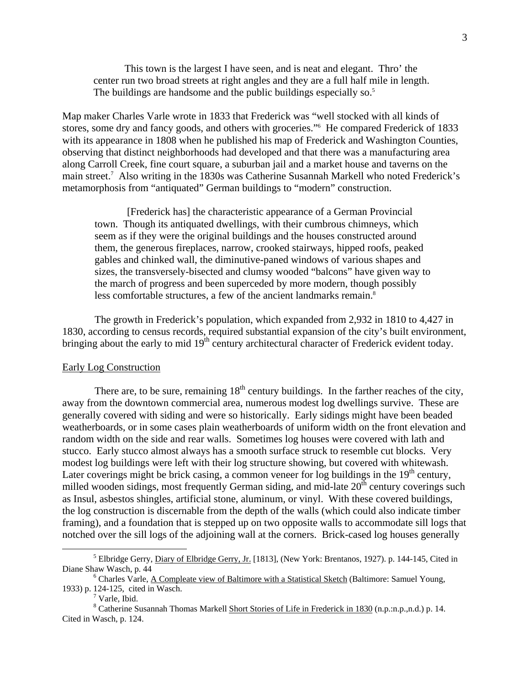This town is the largest I have seen, and is neat and elegant. Thro' the center run two broad streets at right angles and they are a full half mile in length. The buildings are handsome and the public buildings especially so.<sup>5</sup>

Map maker Charles Varle wrote in 1833 that Frederick was "well stocked with all kinds of stores, some dry and fancy goods, and others with groceries."<sup>[6](#page-2-1)</sup> He compared Frederick of 1833 with its appearance in 1808 when he published his map of Frederick and Washington Counties, observing that distinct neighborhoods had developed and that there was a manufacturing area along Carroll Creek, fine court square, a suburban jail and a market house and taverns on the main street.<sup>7</sup> Also writing in the 1830s was Catherine Susannah Markell who noted Frederick's metamorphosis from "antiquated" German buildings to "modern" construction.

[Frederick has] the characteristic appearance of a German Provincial town. Though its antiquated dwellings, with their cumbrous chimneys, which seem as if they were the original buildings and the houses constructed around them, the generous fireplaces, narrow, crooked stairways, hipped roofs, peaked gables and chinked wall, the diminutive-paned windows of various shapes and sizes, the transversely-bisected and clumsy wooded "balcons" have given way to the march of progress and been superceded by more modern, though possibly less comfortable structures, a few of the ancient landmarks remain.<sup>[8](#page-2-3)</sup>

The growth in Frederick's population, which expanded from 2,932 in 1810 to 4,427 in 1830, according to census records, required substantial expansion of the city's built environment, bringing about the early to mid 19<sup>th</sup> century architectural character of Frederick evident today.

## Early Log Construction

There are, to be sure, remaining  $18<sup>th</sup>$  century buildings. In the farther reaches of the city, away from the downtown commercial area, numerous modest log dwellings survive. These are generally covered with siding and were so historically. Early sidings might have been beaded weatherboards, or in some cases plain weatherboards of uniform width on the front elevation and random width on the side and rear walls. Sometimes log houses were covered with lath and stucco. Early stucco almost always has a smooth surface struck to resemble cut blocks. Very modest log buildings were left with their log structure showing, but covered with whitewash. Later coverings might be brick casing, a common veneer for log buildings in the  $19<sup>th</sup>$  century, milled wooden sidings, most frequently German siding, and mid-late  $20<sup>th</sup>$  century coverings such as Insul, asbestos shingles, artificial stone, aluminum, or vinyl. With these covered buildings, the log construction is discernable from the depth of the walls (which could also indicate timber framing), and a foundation that is stepped up on two opposite walls to accommodate sill logs that notched over the sill logs of the adjoining wall at the corners. Brick-cased log houses generally

<span id="page-2-0"></span> $\frac{1}{5}$ <sup>5</sup> Elbridge Gerry, *Diary of Elbridge Gerry, Jr.* [1813], (New York: Brentanos, 1927). p. 144-145, Cited in Diane Shaw Wasch, p. 44 6

Charles Varle, A Compleate view of Baltimore with a Statistical Sketch (Baltimore: Samuel Young, 1933) p. 124-125, cited in Wasch. 7

<span id="page-2-3"></span><span id="page-2-2"></span><span id="page-2-1"></span> $7$  Varle, Ibid.

<sup>&</sup>lt;sup>8</sup> Catherine Susannah Thomas Markell Short Stories of Life in Frederick in 1830 (n.p.:n.p.,n.d.) p. 14. Cited in Wasch, p. 124.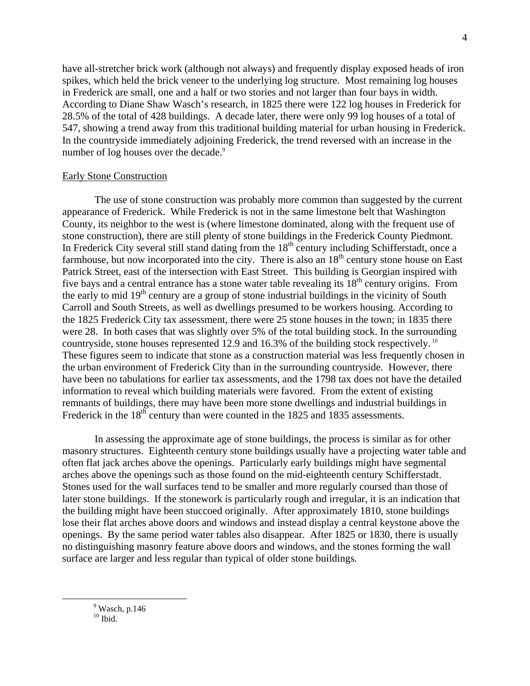have all-stretcher brick work (although not always) and frequently display exposed heads of iron spikes, which held the brick veneer to the underlying log structure. Most remaining log houses in Frederick are small, one and a half or two stories and not larger than four bays in width. According to Diane Shaw Wasch's research, in 1825 there were 122 log houses in Frederick for 28.5% of the total of 428 buildings. A decade later, there were only 99 log houses of a total of 547, showing a trend away from this traditional building material for urban housing in Frederick. In the countryside immediately adjoining Frederick, the trend reversed with an increase in the number of log houses over the decade.<sup>[9](#page-3-0)</sup>

#### Early Stone Construction

The use of stone construction was probably more common than suggested by the current appearance of Frederick. While Frederick is not in the same limestone belt that Washington County, its neighbor to the west is (where limestone dominated, along with the frequent use of stone construction), there are still plenty of stone buildings in the Frederick County Piedmont. In Frederick City several still stand dating from the  $18<sup>th</sup>$  century including Schifferstadt, once a farmhouse, but now incorporated into the city. There is also an  $18<sup>th</sup>$  century stone house on East Patrick Street, east of the intersection with East Street. This building is Georgian inspired with five bays and a central entrance has a stone water table revealing its  $18<sup>th</sup>$  century origins. From the early to mid  $19<sup>th</sup>$  century are a group of stone industrial buildings in the vicinity of South Carroll and South Streets, as well as dwellings presumed to be workers housing. According to the 1825 Frederick City tax assessment, there were 25 stone houses in the town; in 1835 there were 28. In both cases that was slightly over 5% of the total building stock. In the surrounding countryside, stone houses represented 12.9 and 16.3% of the building stock respectively. [10](#page-3-1)  These figures seem to indicate that stone as a construction material was less frequently chosen in the urban environment of Frederick City than in the surrounding countryside. However, there have been no tabulations for earlier tax assessments, and the 1798 tax does not have the detailed information to reveal which building materials were favored. From the extent of existing remnants of buildings, there may have been more stone dwellings and industrial buildings in Frederick in the  $18<sup>th</sup>$  century than were counted in the 1825 and 1835 assessments.

In assessing the approximate age of stone buildings, the process is similar as for other masonry structures. Eighteenth century stone buildings usually have a projecting water table and often flat jack arches above the openings. Particularly early buildings might have segmental arches above the openings such as those found on the mid-eighteenth century Schifferstadt. Stones used for the wall surfaces tend to be smaller and more regularly coursed than those of later stone buildings. If the stonework is particularly rough and irregular, it is an indication that the building might have been stuccoed originally. After approximately 1810, stone buildings lose their flat arches above doors and windows and instead display a central keystone above the openings. By the same period water tables also disappear. After 1825 or 1830, there is usually no distinguishing masonry feature above doors and windows, and the stones forming the wall surface are larger and less regular than typical of older stone buildings.

<span id="page-3-1"></span><span id="page-3-0"></span> $\frac{1}{9}$  $9$  Wasch, p.146  $10$  Ibid.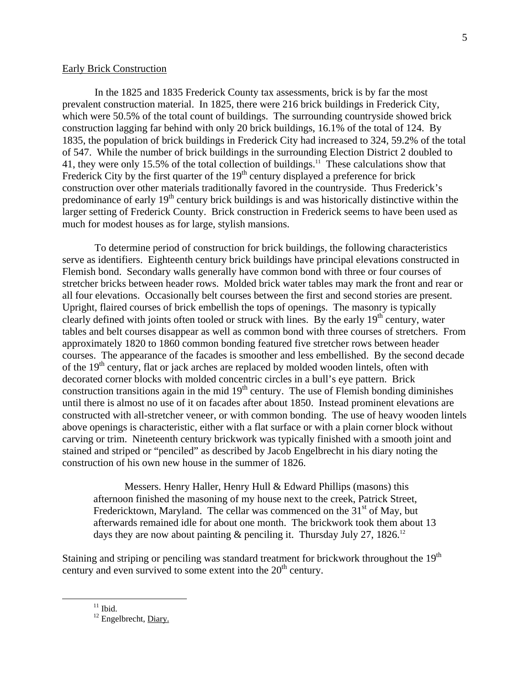## Early Brick Construction

In the 1825 and 1835 Frederick County tax assessments, brick is by far the most prevalent construction material. In 1825, there were 216 brick buildings in Frederick City, which were 50.5% of the total count of buildings. The surrounding countryside showed brick construction lagging far behind with only 20 brick buildings, 16.1% of the total of 124. By 1835, the population of brick buildings in Frederick City had increased to 324, 59.2% of the total of 547. While the number of brick buildings in the surrounding Election District 2 doubled to 41, they were only 15.5% of the total collection of buildings.[11](#page-4-0) These calculations show that Frederick City by the first quarter of the  $19<sup>th</sup>$  century displayed a preference for brick construction over other materials traditionally favored in the countryside. Thus Frederick's predominance of early 19<sup>th</sup> century brick buildings is and was historically distinctive within the larger setting of Frederick County. Brick construction in Frederick seems to have been used as much for modest houses as for large, stylish mansions.

To determine period of construction for brick buildings, the following characteristics serve as identifiers. Eighteenth century brick buildings have principal elevations constructed in Flemish bond. Secondary walls generally have common bond with three or four courses of stretcher bricks between header rows. Molded brick water tables may mark the front and rear or all four elevations. Occasionally belt courses between the first and second stories are present. Upright, flaired courses of brick embellish the tops of openings. The masonry is typically clearly defined with joints often tooled or struck with lines. By the early  $19<sup>th</sup>$  century, water tables and belt courses disappear as well as common bond with three courses of stretchers. From approximately 1820 to 1860 common bonding featured five stretcher rows between header courses. The appearance of the facades is smoother and less embellished. By the second decade of the  $19<sup>th</sup>$  century, flat or jack arches are replaced by molded wooden lintels, often with decorated corner blocks with molded concentric circles in a bull's eye pattern. Brick construction transitions again in the mid  $19<sup>th</sup>$  century. The use of Flemish bonding diminishes until there is almost no use of it on facades after about 1850. Instead prominent elevations are constructed with all-stretcher veneer, or with common bonding. The use of heavy wooden lintels above openings is characteristic, either with a flat surface or with a plain corner block without carving or trim. Nineteenth century brickwork was typically finished with a smooth joint and stained and striped or "penciled" as described by Jacob Engelbrecht in his diary noting the construction of his own new house in the summer of 1826.

Messers. Henry Haller, Henry Hull & Edward Phillips (masons) this afternoon finished the masoning of my house next to the creek, Patrick Street, Fredericktown, Maryland. The cellar was commenced on the  $31<sup>st</sup>$  of May, but afterwards remained idle for about one month. The brickwork took them about 13 days they are now about painting  $\&$  penciling it. Thursday July 27, 1826.<sup>[12](#page-4-1)</sup>

Staining and striping or penciling was standard treatment for brickwork throughout the  $19<sup>th</sup>$ century and even survived to some extent into the  $20<sup>th</sup>$  century.

<span id="page-4-0"></span> $^{11}$  Ibid.

<span id="page-4-1"></span><sup>&</sup>lt;sup>12</sup> Engelbrecht, Diary.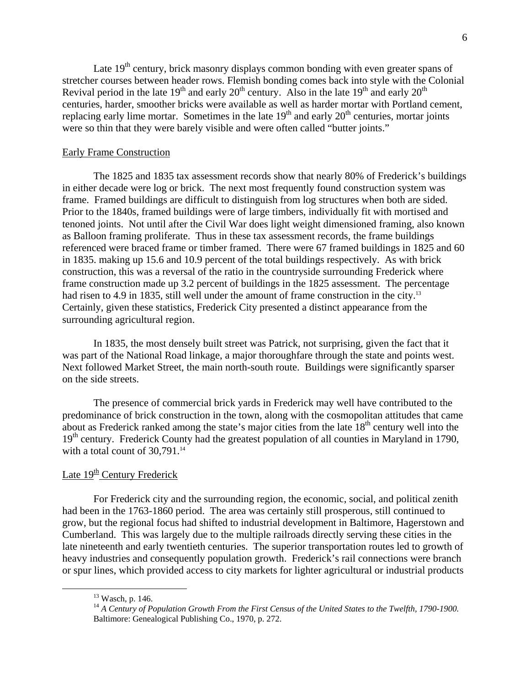Late  $19<sup>th</sup>$  century, brick masonry displays common bonding with even greater spans of stretcher courses between header rows. Flemish bonding comes back into style with the Colonial Revival period in the late  $19<sup>th</sup>$  and early  $20<sup>th</sup>$  century. Also in the late  $19<sup>th</sup>$  and early  $20<sup>th</sup>$ centuries, harder, smoother bricks were available as well as harder mortar with Portland cement, replacing early lime mortar. Sometimes in the late  $19<sup>th</sup>$  and early  $20<sup>th</sup>$  centuries, mortar joints were so thin that they were barely visible and were often called "butter joints."

### Early Frame Construction

 The 1825 and 1835 tax assessment records show that nearly 80% of Frederick's buildings in either decade were log or brick. The next most frequently found construction system was frame. Framed buildings are difficult to distinguish from log structures when both are sided. Prior to the 1840s, framed buildings were of large timbers, individually fit with mortised and tenoned joints. Not until after the Civil War does light weight dimensioned framing, also known as Balloon framing proliferate. Thus in these tax assessment records, the frame buildings referenced were braced frame or timber framed. There were 67 framed buildings in 1825 and 60 in 1835. making up 15.6 and 10.9 percent of the total buildings respectively. As with brick construction, this was a reversal of the ratio in the countryside surrounding Frederick where frame construction made up 3.2 percent of buildings in the 1825 assessment. The percentage had risen to 4.9 in 1835, still well under the amount of frame construction in the city.<sup>13</sup> Certainly, given these statistics, Frederick City presented a distinct appearance from the surrounding agricultural region.

 In 1835, the most densely built street was Patrick, not surprising, given the fact that it was part of the National Road linkage, a major thoroughfare through the state and points west. Next followed Market Street, the main north-south route. Buildings were significantly sparser on the side streets.

The presence of commercial brick yards in Frederick may well have contributed to the predominance of brick construction in the town, along with the cosmopolitan attitudes that came about as Frederick ranked among the state's major cities from the late  $18<sup>th</sup>$  century well into the 19<sup>th</sup> century. Frederick County had the greatest population of all counties in Maryland in 1790, with a total count of  $30.791$ .<sup>14</sup>

# Late  $19<sup>th</sup>$  Century Frederick

For Frederick city and the surrounding region, the economic, social, and political zenith had been in the 1763-1860 period. The area was certainly still prosperous, still continued to grow, but the regional focus had shifted to industrial development in Baltimore, Hagerstown and Cumberland. This was largely due to the multiple railroads directly serving these cities in the late nineteenth and early twentieth centuries. The superior transportation routes led to growth of heavy industries and consequently population growth. Frederick's rail connections were branch or spur lines, which provided access to city markets for lighter agricultural or industrial products

<span id="page-5-0"></span> <sup>13</sup> Wasch, p. 146.

<span id="page-5-1"></span><sup>&</sup>lt;sup>14</sup> A Century of Population Growth From the First Census of the United States to the Twelfth, 1790-1900. Baltimore: Genealogical Publishing Co., 1970, p. 272.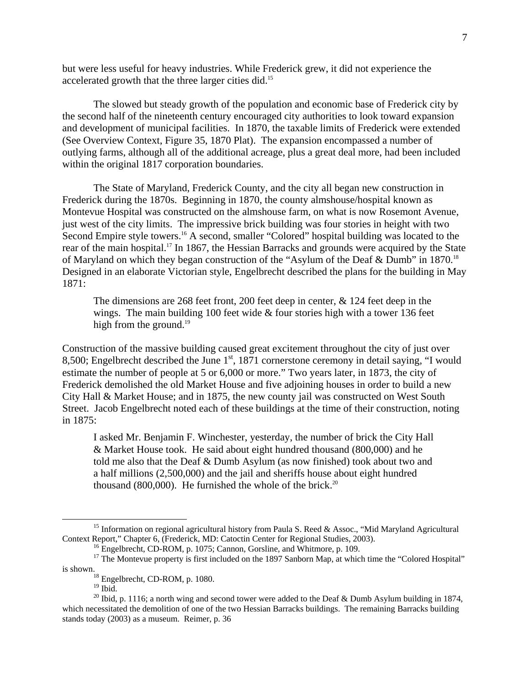but were less useful for heavy industries. While Frederick grew, it did not experience the accelerated growth that the three larger cities did[.15](#page-6-0)

 The slowed but steady growth of the population and economic base of Frederick city by the second half of the nineteenth century encouraged city authorities to look toward expansion and development of municipal facilities. In 1870, the taxable limits of Frederick were extended (See Overview Context, Figure 35, 1870 Plat). The expansion encompassed a number of outlying farms, although all of the additional acreage, plus a great deal more, had been included within the original 1817 corporation boundaries.

The State of Maryland, Frederick County, and the city all began new construction in Frederick during the 1870s. Beginning in 1870, the county almshouse/hospital known as Montevue Hospital was constructed on the almshouse farm, on what is now Rosemont Avenue, just west of the city limits. The impressive brick building was four stories in height with two Second Empire style towers.<sup>16</sup> A second, smaller "Colored" hospital building was located to the rear of the main hospital.<sup>17</sup> In 1867, the Hessian Barracks and grounds were acquired by the State of Maryland on which they began construction of the "Asylum of the Deaf & Dumb" in 1870.[18](#page-6-3) Designed in an elaborate Victorian style, Engelbrecht described the plans for the building in May 1871:

The dimensions are 268 feet front, 200 feet deep in center, & 124 feet deep in the wings. The main building 100 feet wide & four stories high with a tower 136 feet high from the ground. $19$ 

Construction of the massive building caused great excitement throughout the city of just over 8,500; Engelbrecht described the June  $1<sup>st</sup>$ , 1871 cornerstone ceremony in detail saying, "I would estimate the number of people at 5 or 6,000 or more." Two years later, in 1873, the city of Frederick demolished the old Market House and five adjoining houses in order to build a new City Hall & Market House; and in 1875, the new county jail was constructed on West South Street. Jacob Engelbrecht noted each of these buildings at the time of their construction, noting in 1875:

I asked Mr. Benjamin F. Winchester, yesterday, the number of brick the City Hall & Market House took. He said about eight hundred thousand (800,000) and he told me also that the Deaf & Dumb Asylum (as now finished) took about two and a half millions (2,500,000) and the jail and sheriffs house about eight hundred thousand (800,000). He furnished the whole of the brick.<sup>20</sup>

<sup>&</sup>lt;sup>15</sup> Information on regional agricultural history from Paula S. Reed & Assoc., "Mid Maryland Agricultural Context Report," Chapter 6, (Frederick, MD: Catoctin Center for Regional Studies, 2003).

<span id="page-6-2"></span><span id="page-6-1"></span><span id="page-6-0"></span> $^{16}$  Engelbrecht, CD-ROM, p. 1075; Cannon, Gorsline, and Whitmore, p. 109.

<sup>&</sup>lt;sup>17</sup> The Montevue property is first included on the 1897 Sanborn Map, at which time the "Colored Hospital" is shown. 18 Engelbrecht, CD-ROM, p. 1080.

<span id="page-6-3"></span>

<span id="page-6-5"></span><span id="page-6-4"></span> $19$  Ibid.

<sup>&</sup>lt;sup>20</sup> Ibid, p. 1116; a north wing and second tower were added to the Deaf & Dumb Asylum building in 1874, which necessitated the demolition of one of the two Hessian Barracks buildings. The remaining Barracks building stands today (2003) as a museum. Reimer, p. 36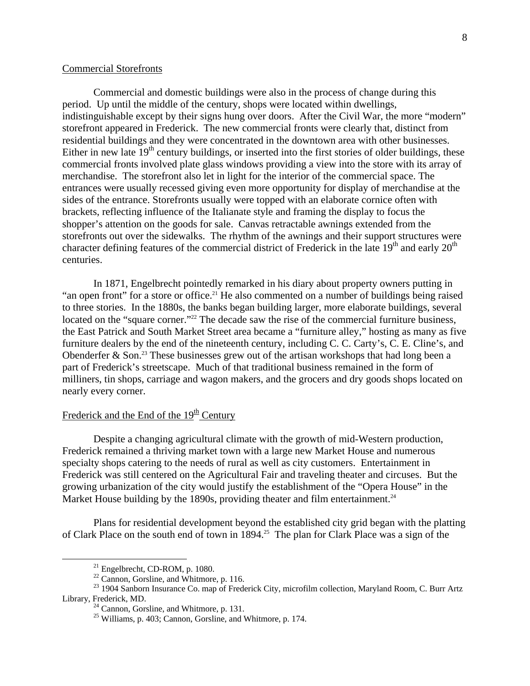## Commercial Storefronts

Commercial and domestic buildings were also in the process of change during this period. Up until the middle of the century, shops were located within dwellings, indistinguishable except by their signs hung over doors. After the Civil War, the more "modern" storefront appeared in Frederick. The new commercial fronts were clearly that, distinct from residential buildings and they were concentrated in the downtown area with other businesses. Either in new late  $19<sup>th</sup>$  century buildings, or inserted into the first stories of older buildings, these commercial fronts involved plate glass windows providing a view into the store with its array of merchandise. The storefront also let in light for the interior of the commercial space. The entrances were usually recessed giving even more opportunity for display of merchandise at the sides of the entrance. Storefronts usually were topped with an elaborate cornice often with brackets, reflecting influence of the Italianate style and framing the display to focus the shopper's attention on the goods for sale. Canvas retractable awnings extended from the storefronts out over the sidewalks. The rhythm of the awnings and their support structures were character defining features of the commercial district of Frederick in the late  $19<sup>th</sup>$  and early  $20<sup>th</sup>$ centuries.

In 1871, Engelbrecht pointedly remarked in his diary about property owners putting in "an open front" for a store or office.<sup>21</sup> He also commented on a number of buildings being raised to three stories. In the 1880s, the banks began building larger, more elaborate buildings, several located on the "square corner."<sup>22</sup> The decade saw the rise of the commercial furniture business, the East Patrick and South Market Street area became a "furniture alley," hosting as many as five furniture dealers by the end of the nineteenth century, including C. C. Carty's, C. E. Cline's, and Obenderfer & Son.<sup>23</sup> These businesses grew out of the artisan workshops that had long been a part of Frederick's streetscape. Much of that traditional business remained in the form of milliners, tin shops, carriage and wagon makers, and the grocers and dry goods shops located on nearly every corner.

# Frederick and the End of the  $19<sup>th</sup>$  Century

 Despite a changing agricultural climate with the growth of mid-Western production, Frederick remained a thriving market town with a large new Market House and numerous specialty shops catering to the needs of rural as well as city customers. Entertainment in Frederick was still centered on the Agricultural Fair and traveling theater and circuses. But the growing urbanization of the city would justify the establishment of the "Opera House" in the Market House building by the 1890s, providing theater and film entertainment.<sup>24</sup>

Plans for residential development beyond the established city grid began with the platting of Clark Place on the south end of town in 1894.<sup>25</sup> The plan for Clark Place was a sign of the

<span id="page-7-0"></span> $^{21}$  Engelbrecht, CD-ROM, p. 1080.

<span id="page-7-2"></span><span id="page-7-1"></span><sup>&</sup>lt;sup>22</sup> Cannon, Gorsline, and Whitmore, p. 116.

<sup>&</sup>lt;sup>23</sup> 1904 Sanborn Insurance Co. map of Frederick City, microfilm collection, Maryland Room, C. Burr Artz Library, Frederick, MD.<br><sup>24</sup> Cannon, Gorsline, and Whitmore, p. 131.

<span id="page-7-3"></span>

<span id="page-7-4"></span><sup>25</sup> Williams, p. 403; Cannon, Gorsline, and Whitmore, p. 174.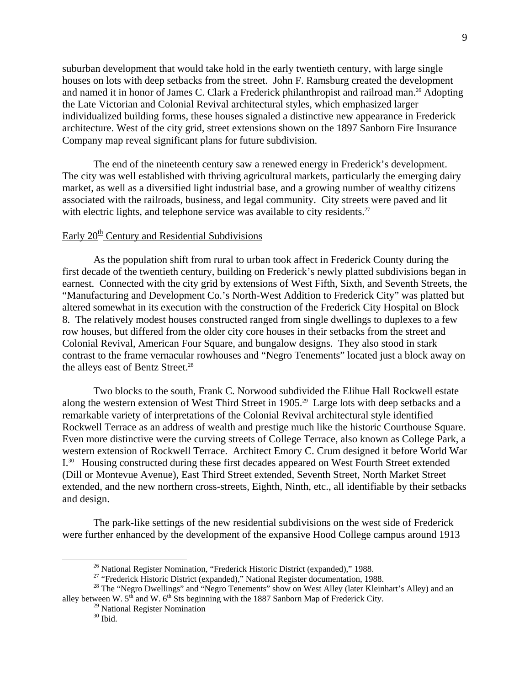suburban development that would take hold in the early twentieth century, with large single houses on lots with deep setbacks from the street. John F. Ramsburg created the development and named it in honor of James C. Clark a Frederick philanthropist and railroad man.<sup>26</sup> Adopting the Late Victorian and Colonial Revival architectural styles, which emphasized larger individualized building forms, these houses signaled a distinctive new appearance in Frederick architecture. West of the city grid, street extensions shown on the 1897 Sanborn Fire Insurance Company map reveal significant plans for future subdivision.

The end of the nineteenth century saw a renewed energy in Frederick's development. The city was well established with thriving agricultural markets, particularly the emerging dairy market, as well as a diversified light industrial base, and a growing number of wealthy citizens associated with the railroads, business, and legal community. City streets were paved and lit with electric lights, and telephone service was available to city residents.<sup>[27](#page-8-1)</sup>

# Early  $20^{\text{th}}$  Century and Residential Subdivisions

As the population shift from rural to urban took affect in Frederick County during the first decade of the twentieth century, building on Frederick's newly platted subdivisions began in earnest. Connected with the city grid by extensions of West Fifth, Sixth, and Seventh Streets, the "Manufacturing and Development Co.'s North-West Addition to Frederick City" was platted but altered somewhat in its execution with the construction of the Frederick City Hospital on Block 8. The relatively modest houses constructed ranged from single dwellings to duplexes to a few row houses, but differed from the older city core houses in their setbacks from the street and Colonial Revival, American Four Square, and bungalow designs. They also stood in stark contrast to the frame vernacular rowhouses and "Negro Tenements" located just a block away on the alleys east of Bentz Street.<sup>28</sup>

Two blocks to the south, Frank C. Norwood subdivided the Elihue Hall Rockwell estate along the western extension of West Third Street in 1905.<sup>29</sup> Large lots with deep setbacks and a remarkable variety of interpretations of the Colonial Revival architectural style identified Rockwell Terrace as an address of wealth and prestige much like the historic Courthouse Square. Even more distinctive were the curving streets of College Terrace, also known as College Park, a western extension of Rockwell Terrace. Architect Emory C. Crum designed it before World War I[.30](#page-8-4) Housing constructed during these first decades appeared on West Fourth Street extended (Dill or Montevue Avenue), East Third Street extended, Seventh Street, North Market Street extended, and the new northern cross-streets, Eighth, Ninth, etc., all identifiable by their setbacks and design.

 The park-like settings of the new residential subdivisions on the west side of Frederick were further enhanced by the development of the expansive Hood College campus around 1913

<span id="page-8-0"></span><sup>&</sup>lt;sup>26</sup> National Register Nomination, "Frederick Historic District (expanded)," 1988.

<span id="page-8-2"></span><span id="page-8-1"></span><sup>&</sup>lt;sup>27</sup> "Frederick Historic District (expanded)," National Register documentation, 1988.

<sup>&</sup>lt;sup>28</sup> The "Negro Dwellings" and "Negro Tenements" show on West Alley (later Kleinhart's Alley) and an alley between W.  $5^{th}$  and W.  $6^{th}$  Sts beginning with the 1887 Sanborn Map of Frederick City.

<sup>&</sup>lt;sup>29</sup> National Register Nomination

<span id="page-8-4"></span><span id="page-8-3"></span> $30$  Ibid.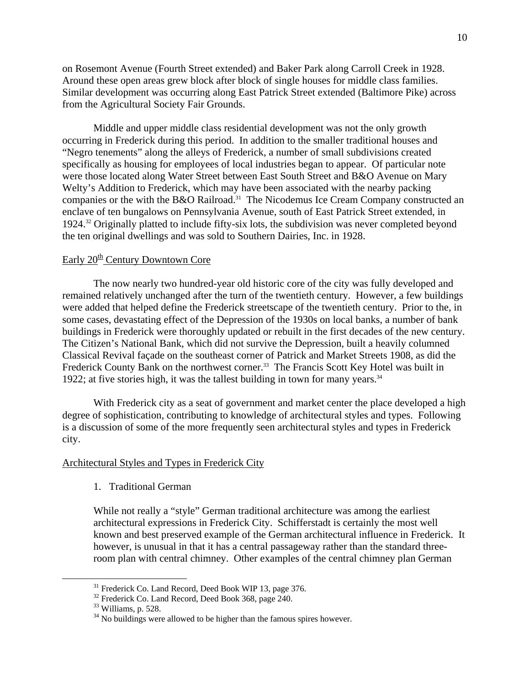on Rosemont Avenue (Fourth Street extended) and Baker Park along Carroll Creek in 1928. Around these open areas grew block after block of single houses for middle class families. Similar development was occurring along East Patrick Street extended (Baltimore Pike) across from the Agricultural Society Fair Grounds.

 Middle and upper middle class residential development was not the only growth occurring in Frederick during this period. In addition to the smaller traditional houses and "Negro tenements" along the alleys of Frederick, a number of small subdivisions created specifically as housing for employees of local industries began to appear. Of particular note were those located along Water Street between East South Street and B&O Avenue on Mary Welty's Addition to Frederick, which may have been associated with the nearby packing companies or the with the B&O Railroad.<sup>31</sup> The Nicodemus Ice Cream Company constructed an enclave of ten bungalows on Pennsylvania Avenue, south of East Patrick Street extended, in 1924.[32 O](#page-9-1)riginally platted to include fifty-six lots, the subdivision was never completed beyond the ten original dwellings and was sold to Southern Dairies, Inc. in 1928.

# Early  $20^{\text{th}}$  Century Downtown Core

The now nearly two hundred-year old historic core of the city was fully developed and remained relatively unchanged after the turn of the twentieth century. However, a few buildings were added that helped define the Frederick streetscape of the twentieth century. Prior to the, in some cases, devastating effect of the Depression of the 1930s on local banks, a number of bank buildings in Frederick were thoroughly updated or rebuilt in the first decades of the new century. The Citizen's National Bank, which did not survive the Depression, built a heavily columned Classical Revival façade on the southeast corner of Patrick and Market Streets 1908, as did the Frederick County Bank on the northwest corner.<sup>33</sup> The Francis Scott Key Hotel was built in 1922; at five stories high, it was the tallest building in town for many years. $34$ 

With Frederick city as a seat of government and market center the place developed a high degree of sophistication, contributing to knowledge of architectural styles and types. Following is a discussion of some of the more frequently seen architectural styles and types in Frederick city.

## Architectural Styles and Types in Frederick City

1. Traditional German

While not really a "style" German traditional architecture was among the earliest architectural expressions in Frederick City. Schifferstadt is certainly the most well known and best preserved example of the German architectural influence in Frederick. It however, is unusual in that it has a central passageway rather than the standard threeroom plan with central chimney. Other examples of the central chimney plan German

<span id="page-9-0"></span><sup>&</sup>lt;sup>31</sup> Frederick Co. Land Record, Deed Book WIP 13, page 376.

<span id="page-9-1"></span><sup>&</sup>lt;sup>32</sup> Frederick Co. Land Record, Deed Book 368, page 240.

<span id="page-9-2"></span> $33$  Williams, p. 528.

<span id="page-9-3"></span> $34$  No buildings were allowed to be higher than the famous spires however.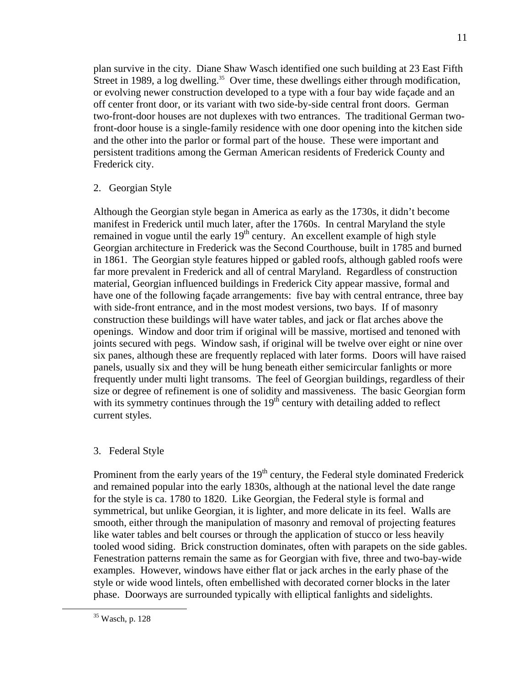plan survive in the city. Diane Shaw Wasch identified one such building at 23 East Fifth Street in 1989, a log dwelling.<sup>35</sup> Over time, these dwellings either through modification, or evolving newer construction developed to a type with a four bay wide façade and an off center front door, or its variant with two side-by-side central front doors. German two-front-door houses are not duplexes with two entrances. The traditional German twofront-door house is a single-family residence with one door opening into the kitchen side and the other into the parlor or formal part of the house. These were important and persistent traditions among the German American residents of Frederick County and Frederick city.

# 2. Georgian Style

Although the Georgian style began in America as early as the 1730s, it didn't become manifest in Frederick until much later, after the 1760s. In central Maryland the style remained in vogue until the early  $19<sup>th</sup>$  century. An excellent example of high style Georgian architecture in Frederick was the Second Courthouse, built in 1785 and burned in 1861. The Georgian style features hipped or gabled roofs, although gabled roofs were far more prevalent in Frederick and all of central Maryland. Regardless of construction material, Georgian influenced buildings in Frederick City appear massive, formal and have one of the following façade arrangements: five bay with central entrance, three bay with side-front entrance, and in the most modest versions, two bays. If of masonry construction these buildings will have water tables, and jack or flat arches above the openings. Window and door trim if original will be massive, mortised and tenoned with joints secured with pegs. Window sash, if original will be twelve over eight or nine over six panes, although these are frequently replaced with later forms. Doors will have raised panels, usually six and they will be hung beneath either semicircular fanlights or more frequently under multi light transoms. The feel of Georgian buildings, regardless of their size or degree of refinement is one of solidity and massiveness. The basic Georgian form with its symmetry continues through the  $19<sup>th</sup>$  century with detailing added to reflect current styles.

# 3. Federal Style

Prominent from the early years of the  $19<sup>th</sup>$  century, the Federal style dominated Frederick and remained popular into the early 1830s, although at the national level the date range for the style is ca. 1780 to 1820. Like Georgian, the Federal style is formal and symmetrical, but unlike Georgian, it is lighter, and more delicate in its feel. Walls are smooth, either through the manipulation of masonry and removal of projecting features like water tables and belt courses or through the application of stucco or less heavily tooled wood siding. Brick construction dominates, often with parapets on the side gables. Fenestration patterns remain the same as for Georgian with five, three and two-bay-wide examples. However, windows have either flat or jack arches in the early phase of the style or wide wood lintels, often embellished with decorated corner blocks in the later phase. Doorways are surrounded typically with elliptical fanlights and sidelights.

<span id="page-10-0"></span> <sup>35</sup> Wasch, p. 128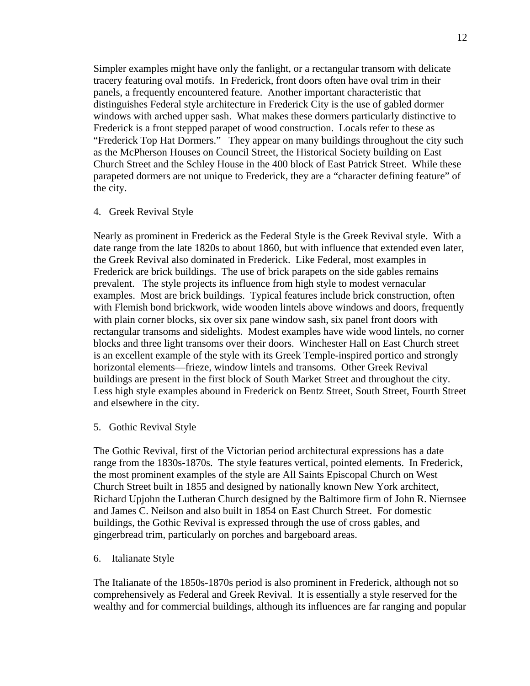Simpler examples might have only the fanlight, or a rectangular transom with delicate tracery featuring oval motifs. In Frederick, front doors often have oval trim in their panels, a frequently encountered feature. Another important characteristic that distinguishes Federal style architecture in Frederick City is the use of gabled dormer windows with arched upper sash. What makes these dormers particularly distinctive to Frederick is a front stepped parapet of wood construction. Locals refer to these as "Frederick Top Hat Dormers." They appear on many buildings throughout the city such as the McPherson Houses on Council Street, the Historical Society building on East Church Street and the Schley House in the 400 block of East Patrick Street. While these parapeted dormers are not unique to Frederick, they are a "character defining feature" of the city.

### 4. Greek Revival Style

Nearly as prominent in Frederick as the Federal Style is the Greek Revival style. With a date range from the late 1820s to about 1860, but with influence that extended even later, the Greek Revival also dominated in Frederick. Like Federal, most examples in Frederick are brick buildings. The use of brick parapets on the side gables remains prevalent. The style projects its influence from high style to modest vernacular examples. Most are brick buildings. Typical features include brick construction, often with Flemish bond brickwork, wide wooden lintels above windows and doors, frequently with plain corner blocks, six over six pane window sash, six panel front doors with rectangular transoms and sidelights. Modest examples have wide wood lintels, no corner blocks and three light transoms over their doors. Winchester Hall on East Church street is an excellent example of the style with its Greek Temple-inspired portico and strongly horizontal elements—frieze, window lintels and transoms. Other Greek Revival buildings are present in the first block of South Market Street and throughout the city. Less high style examples abound in Frederick on Bentz Street, South Street, Fourth Street and elsewhere in the city.

5. Gothic Revival Style

The Gothic Revival, first of the Victorian period architectural expressions has a date range from the 1830s-1870s. The style features vertical, pointed elements. In Frederick, the most prominent examples of the style are All Saints Episcopal Church on West Church Street built in 1855 and designed by nationally known New York architect, Richard Upjohn the Lutheran Church designed by the Baltimore firm of John R. Niernsee and James C. Neilson and also built in 1854 on East Church Street. For domestic buildings, the Gothic Revival is expressed through the use of cross gables, and gingerbread trim, particularly on porches and bargeboard areas.

6. Italianate Style

The Italianate of the 1850s-1870s period is also prominent in Frederick, although not so comprehensively as Federal and Greek Revival. It is essentially a style reserved for the wealthy and for commercial buildings, although its influences are far ranging and popular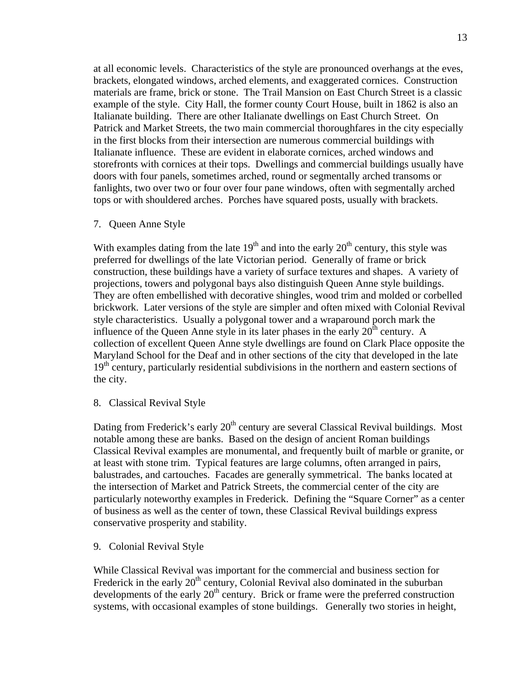at all economic levels. Characteristics of the style are pronounced overhangs at the eves, brackets, elongated windows, arched elements, and exaggerated cornices. Construction materials are frame, brick or stone. The Trail Mansion on East Church Street is a classic example of the style. City Hall, the former county Court House, built in 1862 is also an Italianate building. There are other Italianate dwellings on East Church Street. On Patrick and Market Streets, the two main commercial thoroughfares in the city especially in the first blocks from their intersection are numerous commercial buildings with Italianate influence. These are evident in elaborate cornices, arched windows and storefronts with cornices at their tops. Dwellings and commercial buildings usually have doors with four panels, sometimes arched, round or segmentally arched transoms or fanlights, two over two or four over four pane windows, often with segmentally arched tops or with shouldered arches. Porches have squared posts, usually with brackets.

7. Queen Anne Style

With examples dating from the late  $19<sup>th</sup>$  and into the early  $20<sup>th</sup>$  century, this style was preferred for dwellings of the late Victorian period. Generally of frame or brick construction, these buildings have a variety of surface textures and shapes. A variety of projections, towers and polygonal bays also distinguish Queen Anne style buildings. They are often embellished with decorative shingles, wood trim and molded or corbelled brickwork. Later versions of the style are simpler and often mixed with Colonial Revival style characteristics. Usually a polygonal tower and a wraparound porch mark the influence of the Queen Anne style in its later phases in the early  $20<sup>th</sup>$  century. A collection of excellent Queen Anne style dwellings are found on Clark Place opposite the Maryland School for the Deaf and in other sections of the city that developed in the late 19<sup>th</sup> century, particularly residential subdivisions in the northern and eastern sections of the city.

8. Classical Revival Style

Dating from Frederick's early 20<sup>th</sup> century are several Classical Revival buildings. Most notable among these are banks. Based on the design of ancient Roman buildings Classical Revival examples are monumental, and frequently built of marble or granite, or at least with stone trim. Typical features are large columns, often arranged in pairs, balustrades, and cartouches. Facades are generally symmetrical. The banks located at the intersection of Market and Patrick Streets, the commercial center of the city are particularly noteworthy examples in Frederick. Defining the "Square Corner" as a center of business as well as the center of town, these Classical Revival buildings express conservative prosperity and stability.

9. Colonial Revival Style

While Classical Revival was important for the commercial and business section for Frederick in the early 20<sup>th</sup> century, Colonial Revival also dominated in the suburban developments of the early  $20<sup>th</sup>$  century. Brick or frame were the preferred construction systems, with occasional examples of stone buildings. Generally two stories in height,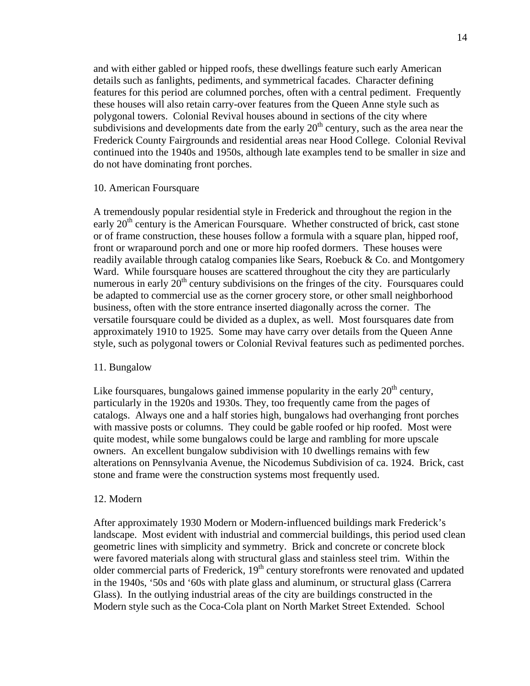and with either gabled or hipped roofs, these dwellings feature such early American details such as fanlights, pediments, and symmetrical facades. Character defining features for this period are columned porches, often with a central pediment. Frequently these houses will also retain carry-over features from the Queen Anne style such as polygonal towers. Colonial Revival houses abound in sections of the city where subdivisions and developments date from the early  $20<sup>th</sup>$  century, such as the area near the Frederick County Fairgrounds and residential areas near Hood College. Colonial Revival continued into the 1940s and 1950s, although late examples tend to be smaller in size and do not have dominating front porches.

#### 10. American Foursquare

A tremendously popular residential style in Frederick and throughout the region in the early  $20<sup>th</sup>$  century is the American Foursquare. Whether constructed of brick, cast stone or of frame construction, these houses follow a formula with a square plan, hipped roof, front or wraparound porch and one or more hip roofed dormers. These houses were readily available through catalog companies like Sears, Roebuck & Co. and Montgomery Ward. While foursquare houses are scattered throughout the city they are particularly numerous in early  $20<sup>th</sup>$  century subdivisions on the fringes of the city. Foursquares could be adapted to commercial use as the corner grocery store, or other small neighborhood business, often with the store entrance inserted diagonally across the corner. The versatile foursquare could be divided as a duplex, as well. Most foursquares date from approximately 1910 to 1925. Some may have carry over details from the Queen Anne style, such as polygonal towers or Colonial Revival features such as pedimented porches.

#### 11. Bungalow

Like foursquares, bungalows gained immense popularity in the early  $20<sup>th</sup>$  century, particularly in the 1920s and 1930s. They, too frequently came from the pages of catalogs. Always one and a half stories high, bungalows had overhanging front porches with massive posts or columns. They could be gable roofed or hip roofed. Most were quite modest, while some bungalows could be large and rambling for more upscale owners. An excellent bungalow subdivision with 10 dwellings remains with few alterations on Pennsylvania Avenue, the Nicodemus Subdivision of ca. 1924. Brick, cast stone and frame were the construction systems most frequently used.

#### 12. Modern

After approximately 1930 Modern or Modern-influenced buildings mark Frederick's landscape. Most evident with industrial and commercial buildings, this period used clean geometric lines with simplicity and symmetry. Brick and concrete or concrete block were favored materials along with structural glass and stainless steel trim. Within the older commercial parts of Frederick,  $19<sup>th</sup>$  century storefronts were renovated and updated in the 1940s, '50s and '60s with plate glass and aluminum, or structural glass (Carrera Glass). In the outlying industrial areas of the city are buildings constructed in the Modern style such as the Coca-Cola plant on North Market Street Extended. School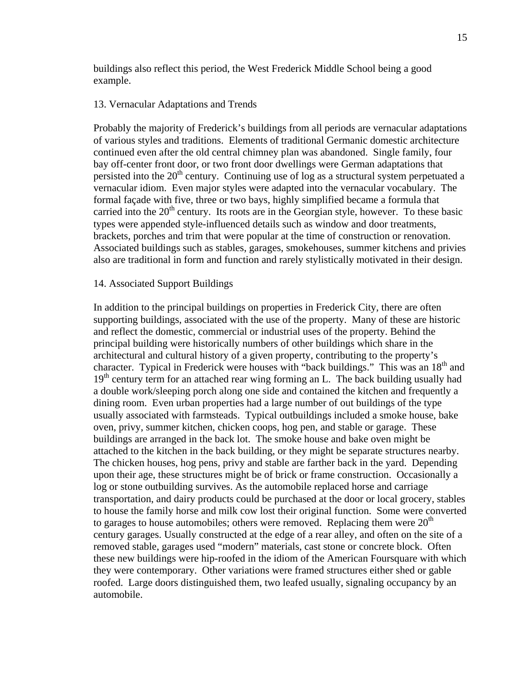buildings also reflect this period, the West Frederick Middle School being a good example.

## 13. Vernacular Adaptations and Trends

Probably the majority of Frederick's buildings from all periods are vernacular adaptations of various styles and traditions. Elements of traditional Germanic domestic architecture continued even after the old central chimney plan was abandoned. Single family, four bay off-center front door, or two front door dwellings were German adaptations that persisted into the  $20<sup>th</sup>$  century. Continuing use of log as a structural system perpetuated a vernacular idiom. Even major styles were adapted into the vernacular vocabulary. The formal façade with five, three or two bays, highly simplified became a formula that carried into the  $20<sup>th</sup>$  century. Its roots are in the Georgian style, however. To these basic types were appended style-influenced details such as window and door treatments, brackets, porches and trim that were popular at the time of construction or renovation. Associated buildings such as stables, garages, smokehouses, summer kitchens and privies also are traditional in form and function and rarely stylistically motivated in their design.

#### 14. Associated Support Buildings

In addition to the principal buildings on properties in Frederick City, there are often supporting buildings, associated with the use of the property. Many of these are historic and reflect the domestic, commercial or industrial uses of the property. Behind the principal building were historically numbers of other buildings which share in the architectural and cultural history of a given property, contributing to the property's character. Typical in Frederick were houses with "back buildings." This was an  $18<sup>th</sup>$  and  $19<sup>th</sup>$  century term for an attached rear wing forming an L. The back building usually had a double work/sleeping porch along one side and contained the kitchen and frequently a dining room. Even urban properties had a large number of out buildings of the type usually associated with farmsteads. Typical outbuildings included a smoke house, bake oven, privy, summer kitchen, chicken coops, hog pen, and stable or garage. These buildings are arranged in the back lot. The smoke house and bake oven might be attached to the kitchen in the back building, or they might be separate structures nearby. The chicken houses, hog pens, privy and stable are farther back in the yard. Depending upon their age, these structures might be of brick or frame construction. Occasionally a log or stone outbuilding survives. As the automobile replaced horse and carriage transportation, and dairy products could be purchased at the door or local grocery, stables to house the family horse and milk cow lost their original function. Some were converted to garages to house automobiles; others were removed. Replacing them were  $20<sup>th</sup>$ century garages. Usually constructed at the edge of a rear alley, and often on the site of a removed stable, garages used "modern" materials, cast stone or concrete block. Often these new buildings were hip-roofed in the idiom of the American Foursquare with which they were contemporary. Other variations were framed structures either shed or gable roofed. Large doors distinguished them, two leafed usually, signaling occupancy by an automobile.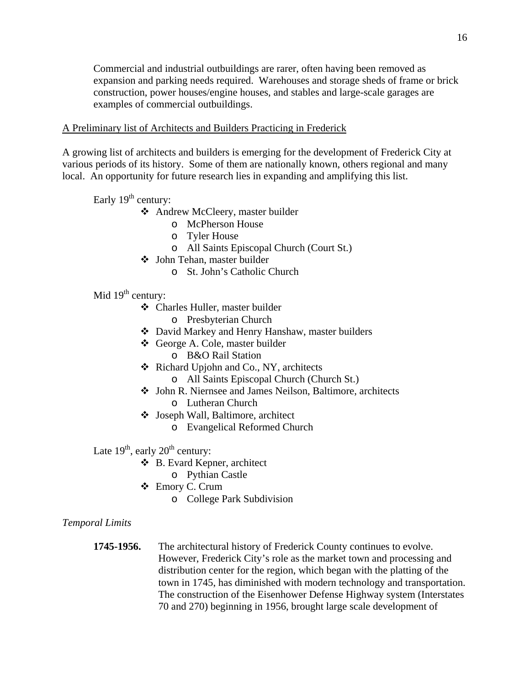Commercial and industrial outbuildings are rarer, often having been removed as expansion and parking needs required. Warehouses and storage sheds of frame or brick construction, power houses/engine houses, and stables and large-scale garages are examples of commercial outbuildings.

## A Preliminary list of Architects and Builders Practicing in Frederick

A growing list of architects and builders is emerging for the development of Frederick City at various periods of its history. Some of them are nationally known, others regional and many local. An opportunity for future research lies in expanding and amplifying this list.

Early  $19<sup>th</sup>$  century:

- Andrew McCleery, master builder
	- o McPherson House
	- o Tyler House
	- o All Saints Episcopal Church (Court St.)
- John Tehan, master builder
	- o St. John's Catholic Church

Mid  $19<sup>th</sup>$  century:

- Charles Huller, master builder
	- o Presbyterian Church
- David Markey and Henry Hanshaw, master builders
- George A. Cole, master builder
	- o B&O Rail Station
- Richard Upjohn and Co., NY, architects
	- o All Saints Episcopal Church (Church St.)
- John R. Niernsee and James Neilson, Baltimore, architects o Lutheran Church
- Joseph Wall, Baltimore, architect
	- o Evangelical Reformed Church

Late  $19^{th}$ , early  $20^{th}$  century:

- B. Evard Kepner, architect
	- o Pythian Castle
- Emory C. Crum
	- o College Park Subdivision

## *Temporal Limits*

**1745-1956.** The architectural history of Frederick County continues to evolve. However, Frederick City's role as the market town and processing and distribution center for the region, which began with the platting of the town in 1745, has diminished with modern technology and transportation. The construction of the Eisenhower Defense Highway system (Interstates 70 and 270) beginning in 1956, brought large scale development of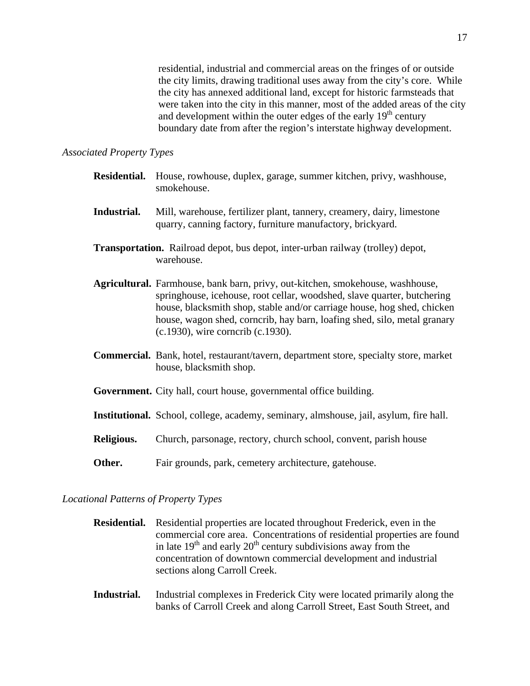residential, industrial and commercial areas on the fringes of or outside the city limits, drawing traditional uses away from the city's core. While the city has annexed additional land, except for historic farmsteads that were taken into the city in this manner, most of the added areas of the city and development within the outer edges of the early  $19<sup>th</sup>$  century boundary date from after the region's interstate highway development.

## *Associated Property Types*

- **Residential.** House, rowhouse, duplex, garage, summer kitchen, privy, washhouse, smokehouse.
- **Industrial.** Mill, warehouse, fertilizer plant, tannery, creamery, dairy, limestone quarry, canning factory, furniture manufactory, brickyard.
- **Transportation.** Railroad depot, bus depot, inter-urban railway (trolley) depot, warehouse.
- **Agricultural.** Farmhouse, bank barn, privy, out-kitchen, smokehouse, washhouse, springhouse, icehouse, root cellar, woodshed, slave quarter, butchering house, blacksmith shop, stable and/or carriage house, hog shed, chicken house, wagon shed, corncrib, hay barn, loafing shed, silo, metal granary (c.1930), wire corncrib (c.1930).
- **Commercial.** Bank, hotel, restaurant/tavern, department store, specialty store, market house, blacksmith shop.
- **Government.** City hall, court house, governmental office building.
- **Institutional.** School, college, academy, seminary, almshouse, jail, asylum, fire hall.
- **Religious.** Church, parsonage, rectory, church school, convent, parish house
- **Other.** Fair grounds, park, cemetery architecture, gatehouse.

### *Locational Patterns of Property Types*

- **Residential.** Residential properties are located throughout Frederick, even in the commercial core area. Concentrations of residential properties are found in late  $19<sup>th</sup>$  and early  $20<sup>th</sup>$  century subdivisions away from the concentration of downtown commercial development and industrial sections along Carroll Creek.
- **Industrial.** Industrial complexes in Frederick City were located primarily along the banks of Carroll Creek and along Carroll Street, East South Street, and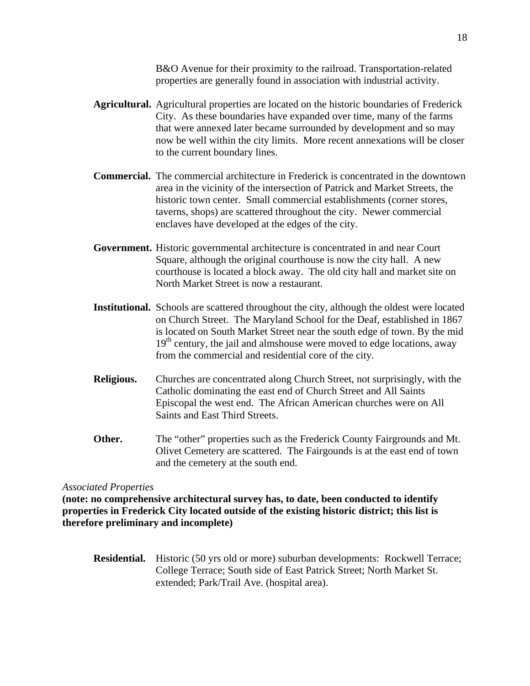B&O Avenue for their proximity to the railroad. Transportation-related properties are generally found in association with industrial activity.

- **Agricultural.** Agricultural properties are located on the historic boundaries of Frederick City. As these boundaries have expanded over time, many of the farms that were annexed later became surrounded by development and so may now be well within the city limits. More recent annexations will be closer to the current boundary lines.
- **Commercial.** The commercial architecture in Frederick is concentrated in the downtown area in the vicinity of the intersection of Patrick and Market Streets, the historic town center. Small commercial establishments (corner stores, taverns, shops) are scattered throughout the city. Newer commercial enclaves have developed at the edges of the city.
- **Government.** Historic governmental architecture is concentrated in and near Court Square, although the original courthouse is now the city hall. A new courthouse is located a block away. The old city hall and market site on North Market Street is now a restaurant.
- **Institutional.** Schools are scattered throughout the city, although the oldest were located on Church Street. The Maryland School for the Deaf, established in 1867 is located on South Market Street near the south edge of town. By the mid  $19<sup>th</sup>$  century, the jail and almshouse were moved to edge locations, away from the commercial and residential core of the city.
- **Religious.** Churches are concentrated along Church Street, not surprisingly, with the Catholic dominating the east end of Church Street and All Saints Episcopal the west end. The African American churches were on All Saints and East Third Streets.
- **Other.** The "other" properties such as the Frederick County Fairgrounds and Mt. Olivet Cemetery are scattered. The Fairgounds is at the east end of town and the cemetery at the south end.

## *Associated Properties*

**(note: no comprehensive architectural survey has, to date, been conducted to identify properties in Frederick City located outside of the existing historic district; this list is therefore preliminary and incomplete)** 

**Residential.** Historic (50 yrs old or more) suburban developments: Rockwell Terrace; College Terrace; South side of East Patrick Street; North Market St. extended; Park/Trail Ave. (hospital area).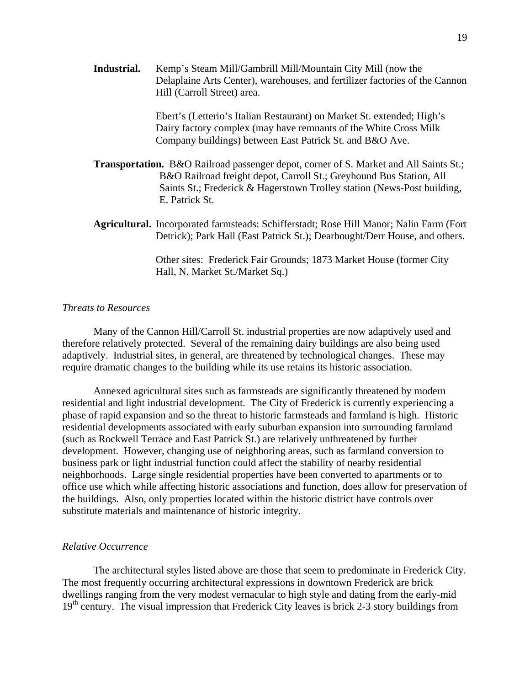**Industrial.** Kemp's Steam Mill/Gambrill Mill/Mountain City Mill (now the Delaplaine Arts Center), warehouses, and fertilizer factories of the Cannon Hill (Carroll Street) area.

> Ebert's (Letterio's Italian Restaurant) on Market St. extended; High's Dairy factory complex (may have remnants of the White Cross Milk Company buildings) between East Patrick St. and B&O Ave.

- **Transportation.** B&O Railroad passenger depot, corner of S. Market and All Saints St.; B&O Railroad freight depot, Carroll St.; Greyhound Bus Station, All Saints St.; Frederick & Hagerstown Trolley station (News-Post building, E. Patrick St.
- **Agricultural.** Incorporated farmsteads: Schifferstadt; Rose Hill Manor; Nalin Farm (Fort Detrick); Park Hall (East Patrick St.); Dearbought/Derr House, and others.

Other sites: Frederick Fair Grounds; 1873 Market House (former City Hall, N. Market St./Market Sq.)

## *Threats to Resources*

 Many of the Cannon Hill/Carroll St. industrial properties are now adaptively used and therefore relatively protected. Several of the remaining dairy buildings are also being used adaptively. Industrial sites, in general, are threatened by technological changes. These may require dramatic changes to the building while its use retains its historic association.

 Annexed agricultural sites such as farmsteads are significantly threatened by modern residential and light industrial development. The City of Frederick is currently experiencing a phase of rapid expansion and so the threat to historic farmsteads and farmland is high. Historic residential developments associated with early suburban expansion into surrounding farmland (such as Rockwell Terrace and East Patrick St.) are relatively unthreatened by further development. However, changing use of neighboring areas, such as farmland conversion to business park or light industrial function could affect the stability of nearby residential neighborhoods. Large single residential properties have been converted to apartments or to office use which while affecting historic associations and function, does allow for preservation of the buildings. Also, only properties located within the historic district have controls over substitute materials and maintenance of historic integrity.

#### *Relative Occurrence*

 The architectural styles listed above are those that seem to predominate in Frederick City. The most frequently occurring architectural expressions in downtown Frederick are brick dwellings ranging from the very modest vernacular to high style and dating from the early-mid 19<sup>th</sup> century. The visual impression that Frederick City leaves is brick 2-3 story buildings from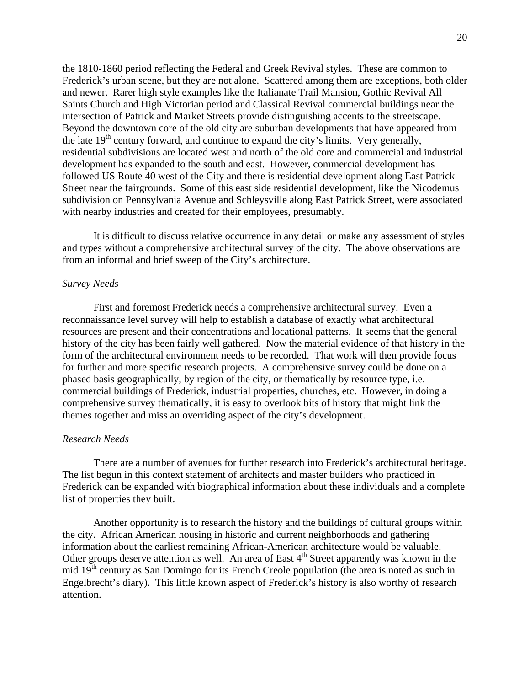the 1810-1860 period reflecting the Federal and Greek Revival styles. These are common to Frederick's urban scene, but they are not alone. Scattered among them are exceptions, both older and newer. Rarer high style examples like the Italianate Trail Mansion, Gothic Revival All Saints Church and High Victorian period and Classical Revival commercial buildings near the intersection of Patrick and Market Streets provide distinguishing accents to the streetscape. Beyond the downtown core of the old city are suburban developments that have appeared from the late  $19<sup>th</sup>$  century forward, and continue to expand the city's limits. Very generally, residential subdivisions are located west and north of the old core and commercial and industrial development has expanded to the south and east. However, commercial development has followed US Route 40 west of the City and there is residential development along East Patrick Street near the fairgrounds. Some of this east side residential development, like the Nicodemus subdivision on Pennsylvania Avenue and Schleysville along East Patrick Street, were associated with nearby industries and created for their employees, presumably.

It is difficult to discuss relative occurrence in any detail or make any assessment of styles and types without a comprehensive architectural survey of the city. The above observations are from an informal and brief sweep of the City's architecture.

#### *Survey Needs*

First and foremost Frederick needs a comprehensive architectural survey. Even a reconnaissance level survey will help to establish a database of exactly what architectural resources are present and their concentrations and locational patterns. It seems that the general history of the city has been fairly well gathered. Now the material evidence of that history in the form of the architectural environment needs to be recorded. That work will then provide focus for further and more specific research projects. A comprehensive survey could be done on a phased basis geographically, by region of the city, or thematically by resource type, i.e. commercial buildings of Frederick, industrial properties, churches, etc. However, in doing a comprehensive survey thematically, it is easy to overlook bits of history that might link the themes together and miss an overriding aspect of the city's development.

### *Research Needs*

 There are a number of avenues for further research into Frederick's architectural heritage. The list begun in this context statement of architects and master builders who practiced in Frederick can be expanded with biographical information about these individuals and a complete list of properties they built.

Another opportunity is to research the history and the buildings of cultural groups within the city. African American housing in historic and current neighborhoods and gathering information about the earliest remaining African-American architecture would be valuable. Other groups deserve attention as well. An area of East  $4<sup>th</sup>$  Street apparently was known in the mid 19<sup>th</sup> century as San Domingo for its French Creole population (the area is noted as such in Engelbrecht's diary). This little known aspect of Frederick's history is also worthy of research attention.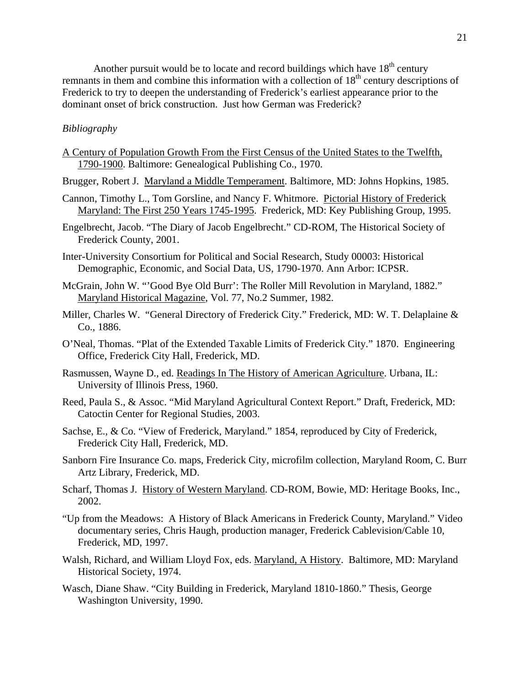Another pursuit would be to locate and record buildings which have  $18<sup>th</sup>$  century remnants in them and combine this information with a collection of 18<sup>th</sup> century descriptions of Frederick to try to deepen the understanding of Frederick's earliest appearance prior to the dominant onset of brick construction. Just how German was Frederick?

## *Bibliography*

A Century of Population Growth From the First Census of the United States to the Twelfth, 1790-1900. Baltimore: Genealogical Publishing Co., 1970.

Brugger, Robert J. Maryland a Middle Temperament. Baltimore, MD: Johns Hopkins, 1985.

- Cannon, Timothy L., Tom Gorsline, and Nancy F. Whitmore. Pictorial History of Frederick Maryland: The First 250 Years 1745-1995. Frederick, MD: Key Publishing Group, 1995.
- Engelbrecht, Jacob. "The Diary of Jacob Engelbrecht." CD-ROM, The Historical Society of Frederick County, 2001.
- Inter-University Consortium for Political and Social Research, Study 00003: Historical Demographic, Economic, and Social Data, US, 1790-1970. Ann Arbor: ICPSR.
- McGrain, John W. "'Good Bye Old Burr': The Roller Mill Revolution in Maryland, 1882." Maryland Historical Magazine, Vol. 77, No.2 Summer, 1982.
- Miller, Charles W. "General Directory of Frederick City." Frederick, MD: W. T. Delaplaine & Co., 1886.
- O'Neal, Thomas. "Plat of the Extended Taxable Limits of Frederick City." 1870. Engineering Office, Frederick City Hall, Frederick, MD.
- Rasmussen, Wayne D., ed. Readings In The History of American Agriculture. Urbana, IL: University of Illinois Press, 1960.
- Reed, Paula S., & Assoc. "Mid Maryland Agricultural Context Report." Draft, Frederick, MD: Catoctin Center for Regional Studies, 2003.
- Sachse, E., & Co. "View of Frederick, Maryland." 1854, reproduced by City of Frederick, Frederick City Hall, Frederick, MD.
- Sanborn Fire Insurance Co. maps, Frederick City, microfilm collection, Maryland Room, C. Burr Artz Library, Frederick, MD.
- Scharf, Thomas J. History of Western Maryland. CD-ROM, Bowie, MD: Heritage Books, Inc., 2002.
- "Up from the Meadows: A History of Black Americans in Frederick County, Maryland." Video documentary series, Chris Haugh, production manager, Frederick Cablevision/Cable 10, Frederick, MD, 1997.
- Walsh, Richard, and William Lloyd Fox, eds. Maryland, A History. Baltimore, MD: Maryland Historical Society, 1974.
- Wasch, Diane Shaw. "City Building in Frederick, Maryland 1810-1860." Thesis, George Washington University, 1990.